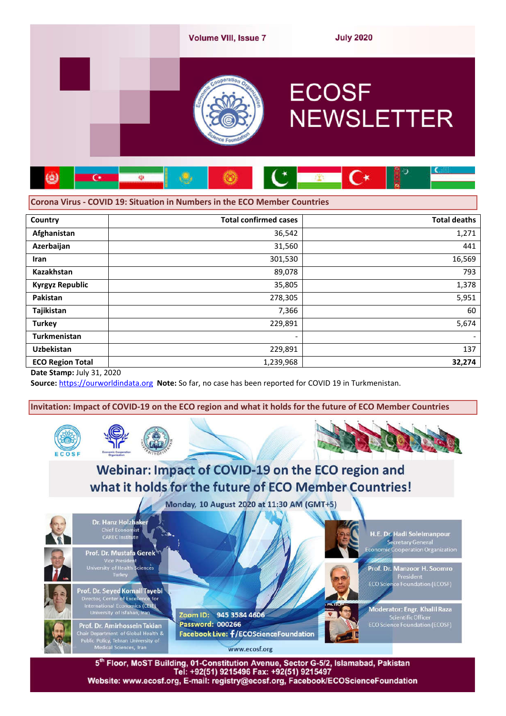

# **Corona Virus - COVID 19: Situation in Numbers in the ECO Member Countries**

| Country                 | <b>Total confirmed cases</b> | <b>Total deaths</b>      |
|-------------------------|------------------------------|--------------------------|
| Afghanistan             | 36,542                       | 1,271                    |
| Azerbaijan              | 31,560                       | 441                      |
| <b>Iran</b>             | 301,530                      | 16,569                   |
| <b>Kazakhstan</b>       | 89,078                       | 793                      |
| <b>Kyrgyz Republic</b>  | 35,805                       | 1,378                    |
| Pakistan                | 278,305                      | 5,951                    |
| Tajikistan              | 7,366                        | 60                       |
| <b>Turkey</b>           | 229,891                      | 5,674                    |
| <b>Turkmenistan</b>     | $\overline{\phantom{a}}$     | $\overline{\phantom{0}}$ |
| <b>Uzbekistan</b>       | 229,891                      | 137                      |
| <b>ECO Region Total</b> | 1,239,968                    | 32,274                   |

**Date Stamp:** July 31, 2020

**Source:** https://ourworldindata.org **Note:** So far, no case has been reported for COVID 19 in Turkmenistan.

**Invitation: Impact of COVID-19 on the ECO region and what it holds for the future of ECO Member Countries**





Monday, 10 August 2020 at 11:30 AM (GMT+5)



5<sup>th</sup> Floor, MoST Building, 01-Constitution Avenue, Sector G-5/2, Islamabad, Pakistan<br>Tel: +92(51) 9215496 Fax: +92(51) 9215497 Website: www.ecosf.org, E-mail: registry@ecosf.org, Facebook/ECOScienceFoundation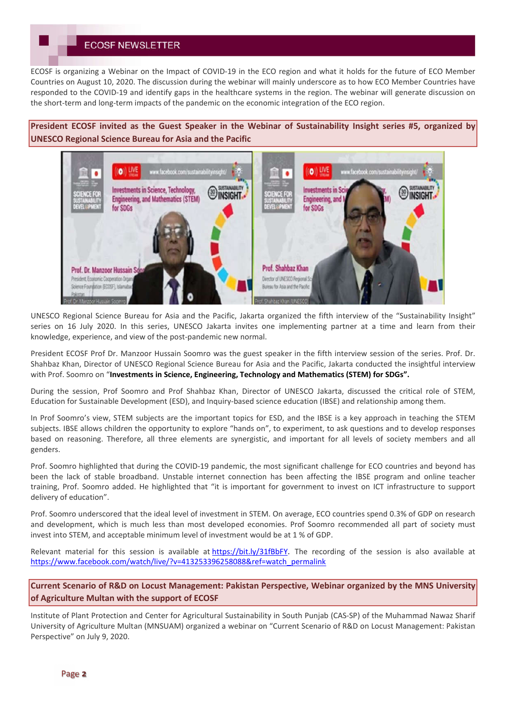# **ECOSF NEWSLETTER**

ECOSF is organizing a Webinar on the Impact of COVID-19 in the ECO region and what it holds for the future of ECO Member Countries on August 10, 2020. The discussion during the webinar will mainly underscore as to how ECO Member Countries have responded to the COVID-19 and identify gaps in the healthcare systems in the region. The webinar will generate discussion on the short-term and long-term impacts of the pandemic on the economic integration of the ECO region.

**President ECOSF invited as the Guest Speaker in the Webinar of Sustainability Insight series #5, organized by UNESCO Regional Science Bureau for Asia and the Pacific**



UNESCO Regional Science Bureau for Asia and the Pacific, Jakarta organized the fifth interview of the "Sustainability Insight" series on 16 July 2020. In this series, UNESCO Jakarta invites one implementing partner at a time and learn from their knowledge, experience, and view of the post-pandemic new normal.

President ECOSF Prof Dr. Manzoor Hussain Soomro was the guest speaker in the fifth interview session of the series. Prof. Dr. Shahbaz Khan, Director of UNESCO Regional Science Bureau for Asia and the Pacific, Jakarta conducted the insightful interview with Prof. Soomro on "**Investments in Science, Engineering, Technology and Mathematics (STEM) for SDGs".**

During the session, Prof Soomro and Prof Shahbaz Khan, Director of UNESCO Jakarta, discussed the critical role of STEM, Education for Sustainable Development (ESD), and Inquiry-based science education (IBSE) and relationship among them.

In Prof Soomro's view, STEM subjects are the important topics for ESD, and the IBSE is a key approach in teaching the STEM subjects. IBSE allows children the opportunity to explore "hands on", to experiment, to ask questions and to develop responses based on reasoning. Therefore, all three elements are synergistic, and important for all levels of society members and all genders.

Prof. Soomro highlighted that during the COVID-19 pandemic, the most significant challenge for ECO countries and beyond has been the lack of stable broadband. Unstable internet connection has been affecting the IBSE program and online teacher training, Prof. Soomro added. He highlighted that "it is important for government to invest on ICT infrastructure to support delivery of education".

Prof. Soomro underscored that the ideal level of investment in STEM. On average, ECO countries spend 0.3% of GDP on research and development, which is much less than most developed economies. Prof Soomro recommended all part of society must invest into STEM, and acceptable minimum level of investment would be at 1 % of GDP.

Relevant material for this session is available at https://bit.ly/31fBbFY. The recording of the session is also available at https://www.facebook.com/watch/live/?v=413253396258088&ref=watch\_permalink

**Current Scenario of R&D on Locust Management: Pakistan Perspective, Webinar organized by the MNS University of Agriculture Multan with the support of ECOSF**

Institute of Plant Protection and Center for Agricultural Sustainability in South Punjab (CAS-SP) of the Muhammad Nawaz Sharif University of Agriculture Multan (MNSUAM) organized a webinar on "Current Scenario of R&D on Locust Management: Pakistan Perspective" on July 9, 2020.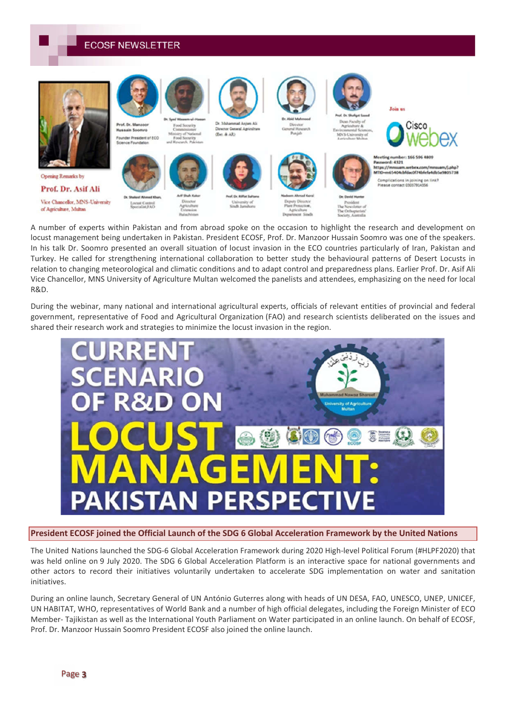**ECOSF NEWSLETTER** 



A number of experts within Pakistan and from abroad spoke on the occasion to highlight the research and development on locust management being undertaken in Pakistan. President ECOSF, Prof. Dr. Manzoor Hussain Soomro was one of the speakers. In his talk Dr. Soomro presented an overall situation of locust invasion in the ECO countries particularly of Iran, Pakistan and Turkey. He called for strengthening international collaboration to better study the behavioural patterns of Desert Locusts in relation to changing meteorological and climatic conditions and to adapt control and preparedness plans. Earlier Prof. Dr. Asif Ali Vice Chancellor, MNS University of Agriculture Multan welcomed the panelists and attendees, emphasizing on the need for local R&D.

During the webinar, many national and international agricultural experts, officials of relevant entities of provincial and federal government, representative of Food and Agricultural Organization (FAO) and research scientists deliberated on the issues and shared their research work and strategies to minimize the locust invasion in the region.



**President ECOSF joined the Official Launch of the SDG 6 Global Acceleration Framework by the United Nations**

The United Nations launched the SDG-6 Global Acceleration Framework during 2020 High-level Political Forum (#HLPF2020) that was held online on 9 July 2020. The SDG 6 Global Acceleration Platform is an interactive space for national governments and other actors to record their initiatives voluntarily undertaken to accelerate SDG implementation on water and sanitation initiatives.

During an online launch, Secretary General of UN António Guterres along with heads of UN DESA, FAO, UNESCO, UNEP, UNICEF, UN HABITAT, WHO, representatives of World Bank and a number of high official delegates, including the Foreign Minister of ECO Member- Tajikistan as well as the International Youth Parliament on Water participated in an online launch. On behalf of ECOSF, Prof. Dr. Manzoor Hussain Soomro President ECOSF also joined the online launch.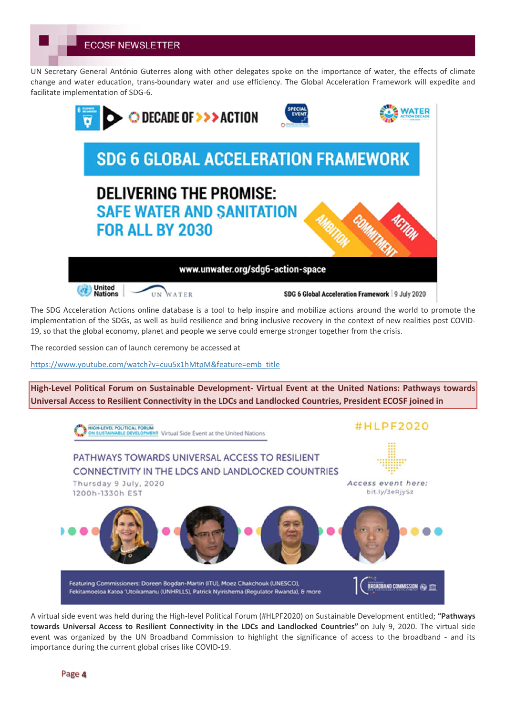**ECOSF NEWSLETTER** 

UN Secretary General António Guterres along with other delegates spoke on the importance of water, the effects of climate change and water education, trans-boundary water and use efficiency. The Global Acceleration Framework will expedite and facilitate implementation of SDG-6.



The SDG Acceleration Actions online database is a tool to help inspire and mobilize actions around the world to promote the implementation of the SDGs, as well as build resilience and bring inclusive recovery in the context of new realities post COVID-19, so that the global economy, planet and people we serve could emerge stronger together from the crisis.

The recorded session can of launch ceremony be accessed at

https://www.youtube.com/watch?v=cuu5x1hMtpM&feature=emb\_title

**High-Level Political Forum on Sustainable Development- Virtual Event at the United Nations: Pathways towards Universal Access to Resilient Connectivity in the LDCs and Landlocked Countries, President ECOSF joined in**



A virtual side event was held during the High-level Political Forum (#HLPF2020) on Sustainable Development entitled; **"Pathways towards Universal Access to Resilient Connectivity in the LDCs and Landlocked Countries"** on July 9, 2020. The virtual side event was organized by the UN Broadband Commission to highlight the significance of access to the broadband - and its importance during the current global crises like COVID-19.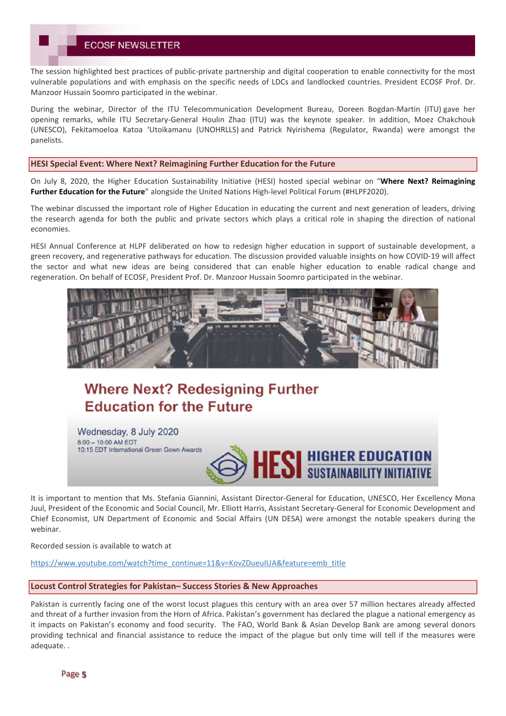The session highlighted best practices of public-private partnership and digital cooperation to enable connectivity for the most vulnerable populations and with emphasis on the specific needs of LDCs and landlocked countries. President ECOSF Prof. Dr. Manzoor Hussain Soomro participated in the webinar.

During the webinar, Director of the ITU Telecommunication Development Bureau, Doreen Bogdan-Martin (ITU) gave her opening remarks, while ITU Secretary-General Houlin Zhao (ITU) was the keynote speaker. In addition, Moez Chakchouk (UNESCO), Fekitamoeloa Katoa 'Utoikamanu (UNOHRLLS) and Patrick Nyirishema (Regulator, Rwanda) were amongst the panelists.

#### **HESI Special Event: Where Next? Reimagining Further Education for the Future**

On July 8, 2020, the Higher Education Sustainability Initiative (HESI) hosted special webinar on "**Where Next? Reimagining Further Education for the Future**" alongside the United Nations High-level Political Forum (#HLPF2020).

The webinar discussed the important role of Higher Education in educating the current and next generation of leaders, driving the research agenda for both the public and private sectors which plays a critical role in shaping the direction of national economies.

HESI Annual Conference at HLPF deliberated on how to redesign higher education in support of sustainable development, a green recovery, and regenerative pathways for education. The discussion provided valuable insights on how COVID-19 will affect the sector and what new ideas are being considered that can enable higher education to enable radical change and regeneration. On behalf of ECOSF, President Prof. Dr. Manzoor Hussain Soomro participated in the webinar.



# **Where Next? Redesigning Further Education for the Future**

Wednesday, 8 July 2020 8:00 - 10:00 AM EDT 10:15 EDT International Green Gown Awards



It is important to mention that Ms. Stefania Giannini, Assistant Director-General for Education, UNESCO, Her Excellency Mona Juul, President of the Economic and Social Council, Mr. Elliott Harris, Assistant Secretary-General for Economic Development and Chief Economist, UN Department of Economic and Social Affairs (UN DESA) were amongst the notable speakers during the webinar.

Recorded session is available to watch at

https://www.youtube.com/watch?time\_continue=11&v=KovZDueuIUA&feature=emb\_title

#### **Locust Control Strategies for Pakistan– Success Stories & New Approaches**

Pakistan is currently facing one of the worst locust plagues this century with an area over 57 million hectares already affected and threat of a further invasion from the Horn of Africa. Pakistan's government has declared the plague a national emergency as it impacts on Pakistan's economy and food security. The FAO, World Bank & Asian Develop Bank are among several donors providing technical and financial assistance to reduce the impact of the plague but only time will tell if the measures were adequate. .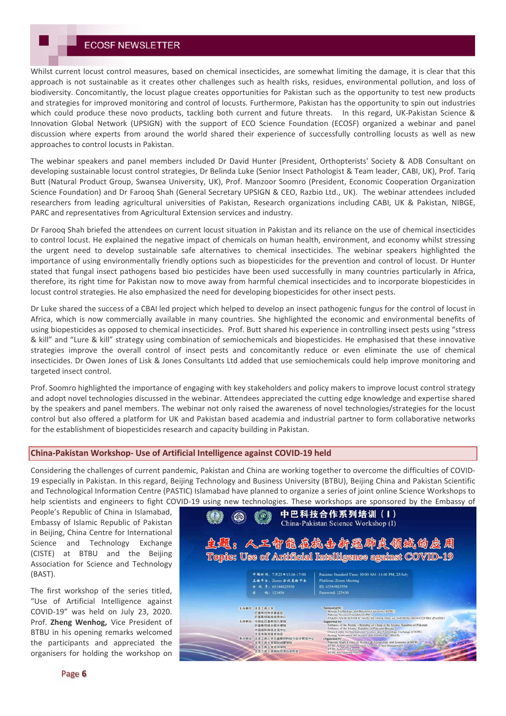Whilst current locust control measures, based on chemical insecticides, are somewhat limiting the damage, it is clear that this approach is not sustainable as it creates other challenges such as health risks, residues, environmental pollution, and loss of biodiversity. Concomitantly, the locust plague creates opportunities for Pakistan such as the opportunity to test new products and strategies for improved monitoring and control of locusts. Furthermore, Pakistan has the opportunity to spin out industries which could produce these novo products, tackling both current and future threats. In this regard, UK-Pakistan Science & Innovation Global Network (UPSIGN) with the support of ECO Science Foundation (ECOSF) organized a webinar and panel discussion where experts from around the world shared their experience of successfully controlling locusts as well as new approaches to control locusts in Pakistan.

The webinar speakers and panel members included Dr David Hunter (President, Orthopterists' Society & ADB Consultant on developing sustainable locust control strategies, Dr Belinda Luke (Senior Insect Pathologist & Team leader, CABI, UK), Prof. Tariq Butt (Natural Product Group, Swansea University, UK), Prof. Manzoor Soomro (President, Economic Cooperation Organization Science Foundation) and Dr Farooq Shah (General Secretary UPSIGN & CEO, Razbio Ltd., UK). The webinar attendees included researchers from leading agricultural universities of Pakistan, Research organizations including CABI, UK & Pakistan, NIBGE, PARC and representatives from Agricultural Extension services and industry.

Dr Farooq Shah briefed the attendees on current locust situation in Pakistan and its reliance on the use of chemical insecticides to control locust. He explained the negative impact of chemicals on human health, environment, and economy whilst stressing the urgent need to develop sustainable safe alternatives to chemical insecticides. The webinar speakers highlighted the importance of using environmentally friendly options such as biopesticides for the prevention and control of locust. Dr Hunter stated that fungal insect pathogens based bio pesticides have been used successfully in many countries particularly in Africa, therefore, its right time for Pakistan now to move away from harmful chemical insecticides and to incorporate biopesticides in locust control strategies. He also emphasized the need for developing biopesticides for other insect pests.

Dr Luke shared the success of a CBAI led project which helped to develop an insect pathogenic fungus for the control of locust in Africa, which is now commercially available in many countries. She highlighted the economic and environmental benefits of using biopesticides as opposed to chemical insecticides. Prof. Butt shared his experience in controlling insect pests using "stress & kill" and "Lure & kill" strategy using combination of semiochemicals and biopesticides. He emphasised that these innovative strategies improve the overall control of insect pests and concomitantly reduce or even eliminate the use of chemical insecticides. Dr Owen Jones of Lisk & Jones Consultants Ltd added that use semiochemicals could help improve monitoring and targeted insect control.

Prof. Soomro highlighted the importance of engaging with key stakeholders and policy makers to improve locust control strategy and adopt novel technologies discussed in the webinar. Attendees appreciated the cutting edge knowledge and expertise shared by the speakers and panel members. The webinar not only raised the awareness of novel technologies/strategies for the locust control but also offered a platform for UK and Pakistan based academia and industrial partner to form collaborative networks for the establishment of biopesticides research and capacity building in Pakistan.

#### **China-Pakistan Workshop- Use of Artificial Intelligence against COVID-19 held**

Considering the challenges of current pandemic, Pakistan and China are working together to overcome the difficulties of COVID-19 especially in Pakistan. In this regard, Beijing Technology and Business University (BTBU), Beijing China and Pakistan Scientific and Technological Information Centre (PASTIC) Islamabad have planned to organize a series of joint online Science Workshops to help scientists and engineers to fight COVID-19 using new technologies. These workshops are sponsored by the Embassy of

People's Republic of China in Islamabad, Embassy of Islamic Republic of Pakistan in Beijing, China Centre for International Science and Technology Exchange (CISTE) at BTBU and the Beijing Association for Science and Technology (BAST).

The first workshop of the series titled, "Use of Artificial Intelligence against COVID-19" was held on July 23, 2020. Prof. **Zheng Wenhog,** Vice President of BTBU in his opening remarks welcomed the participants and appreciated the organisers for holding the workshop on

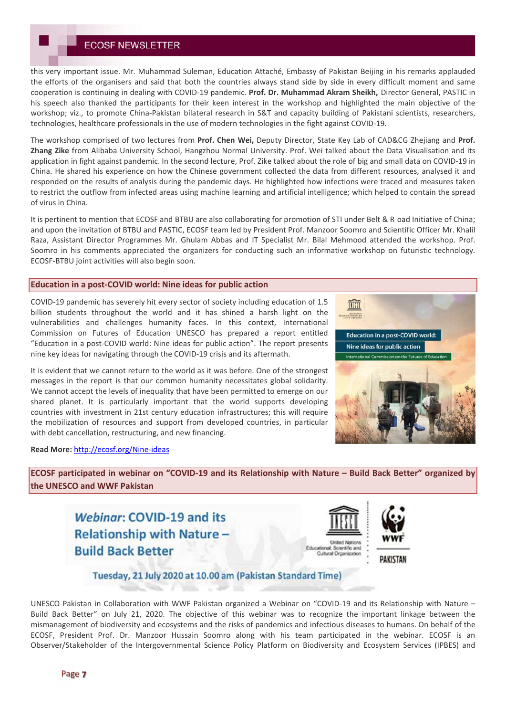this very important issue. Mr. Muhammad Suleman, Education Attaché, Embassy of Pakistan Beijing in his remarks applauded the efforts of the organisers and said that both the countries always stand side by side in every difficult moment and same cooperation is continuing in dealing with COVID-19 pandemic. **Prof. Dr. Muhammad Akram Sheikh,** Director General, PASTIC in his speech also thanked the participants for their keen interest in the workshop and highlighted the main objective of the workshop; viz., to promote China-Pakistan bilateral research in S&T and capacity building of Pakistani scientists, researchers, technologies, healthcare professionals in the use of modern technologies in the fight against COVID-19.

The workshop comprised of two lectures from **Prof. Chen Wei,** Deputy Director, State Key Lab of CAD&CG Zhejiang and **Prof. Zhang Zike** from Alibaba University School, Hangzhou Normal University. Prof. Wei talked about the Data Visualisation and its application in fight against pandemic. In the second lecture, Prof. Zike talked about the role of big and small data on COVID-19 in China. He shared his experience on how the Chinese government collected the data from different resources, analysed it and responded on the results of analysis during the pandemic days. He highlighted how infections were traced and measures taken to restrict the outflow from infected areas using machine learning and artificial intelligence; which helped to contain the spread of virus in China.

It is pertinent to mention that ECOSF and BTBU are also collaborating for promotion of STI under Belt & R oad Initiative of China; and upon the invitation of BTBU and PASTIC, ECOSF team led by President Prof. Manzoor Soomro and Scientific Officer Mr. Khalil Raza, Assistant Director Programmes Mr. Ghulam Abbas and IT Specialist Mr. Bilal Mehmood attended the workshop. Prof. Soomro in his comments appreciated the organizers for conducting such an informative workshop on futuristic technology. ECOSF-BTBU joint activities will also begin soon.

# **Education in a post-COVID world: Nine ideas for public action**

COVID-19 pandemic has severely hit every sector of society including education of 1.5 billion students throughout the world and it has shined a harsh light on the vulnerabilities and challenges humanity faces. In this context, International Commission on Futures of Education UNESCO has prepared a report entitled "Education in a post-COVID world: Nine ideas for public action". The report presents nine key ideas for navigating through the COVID-19 crisis and its aftermath.

It is evident that we cannot return to the world as it was before. One of the strongest messages in the report is that our common humanity necessitates global solidarity. We cannot accept the levels of inequality that have been permitted to emerge on our shared planet. It is particularly important that the world supports developing countries with investment in 21st century education infrastructures; this will require the mobilization of resources and support from developed countries, in particular with debt cancellation, restructuring, and new financing.



**Read More:** http://ecosf.org/Nine-ideas

**ECOSF participated in webinar on "COVID-19 and its Relationship with Nature – Build Back Better" organized by the UNESCO and WWF Pakistan**

Webingr: COVID-19 and its **Relationship with Nature-Build Back Better** 





Tuesday, 21 July 2020 at 10.00 am (Pakistan Standard Time)

UNESCO Pakistan in Collaboration with WWF Pakistan organized a Webinar on "COVID-19 and its Relationship with Nature – Build Back Better" on July 21, 2020. The objective of this webinar was to recognize the important linkage between the mismanagement of biodiversity and ecosystems and the risks of pandemics and infectious diseases to humans. On behalf of the ECOSF, President Prof. Dr. Manzoor Hussain Soomro along with his team participated in the webinar. ECOSF is an Observer/Stakeholder of the Intergovernmental Science Policy Platform on Biodiversity and Ecosystem Services (IPBES) and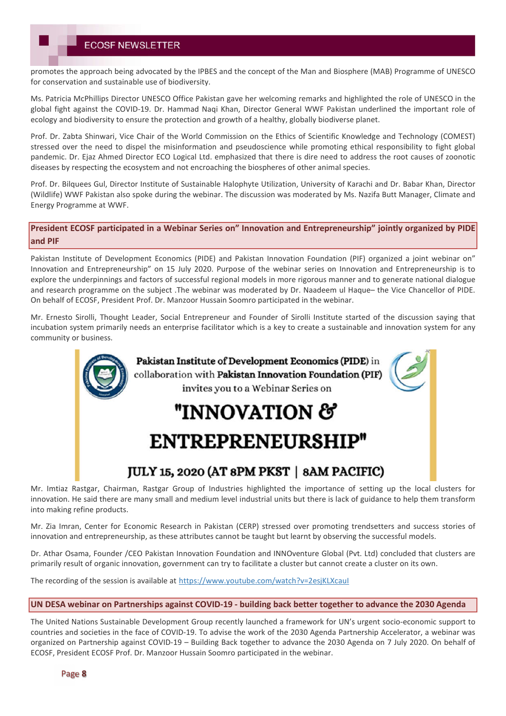promotes the approach being advocated by the IPBES and the concept of the Man and Biosphere (MAB) Programme of UNESCO for conservation and sustainable use of biodiversity.

Ms. Patricia McPhillips Director UNESCO Office Pakistan gave her welcoming remarks and highlighted the role of UNESCO in the global fight against the COVID-19. Dr. Hammad Naqi Khan, Director General WWF Pakistan underlined the important role of ecology and biodiversity to ensure the protection and growth of a healthy, globally biodiverse planet.

Prof. Dr. Zabta Shinwari, Vice Chair of the World Commission on the Ethics of Scientific Knowledge and Technology (COMEST) stressed over the need to dispel the misinformation and pseudoscience while promoting ethical responsibility to fight global pandemic. Dr. Ejaz Ahmed Director ECO Logical Ltd. emphasized that there is dire need to address the root causes of zoonotic diseases by respecting the ecosystem and not encroaching the biospheres of other animal species.

Prof. Dr. Bilquees Gul, Director Institute of Sustainable Halophyte Utilization, University of Karachi and Dr. Babar Khan, Director (Wildlife) WWF Pakistan also spoke during the webinar. The discussion was moderated by Ms. Nazifa Butt Manager, Climate and Energy Programme at WWF.

**President ECOSF participated in a Webinar Series on" Innovation and Entrepreneurship" jointly organized by PIDE and PIF**

Pakistan Institute of Development Economics (PIDE) and Pakistan Innovation Foundation (PIF) organized a joint webinar on" Innovation and Entrepreneurship" on 15 July 2020. Purpose of the webinar series on Innovation and Entrepreneurship is to explore the underpinnings and factors of successful regional models in more rigorous manner and to generate national dialogue and research programme on the subject .The webinar was moderated by Dr. Naadeem ul Haque– the Vice Chancellor of PIDE. On behalf of ECOSF, President Prof. Dr. Manzoor Hussain Soomro participated in the webinar.

Mr. Ernesto Sirolli, Thought Leader, Social Entrepreneur and Founder of Sirolli Institute started of the discussion saying that incubation system primarily needs an enterprise facilitator which is a key to create a sustainable and innovation system for any community or business.



Mr. Imtiaz Rastgar, Chairman, Rastgar Group of Industries highlighted the importance of setting up the local clusters for innovation. He said there are many small and medium level industrial units but there is lack of guidance to help them transform into making refine products.

Mr. Zia Imran, Center for Economic Research in Pakistan (CERP) stressed over promoting trendsetters and success stories of innovation and entrepreneurship, as these attributes cannot be taught but learnt by observing the successful models.

Dr. Athar Osama, Founder /CEO Pakistan Innovation Foundation and INNOventure Global (Pvt. Ltd) concluded that clusters are primarily result of organic innovation, government can try to facilitate a cluster but cannot create a cluster on its own.

The recording of the session is available at https://www.youtube.com/watch?v=2esjKLXcauI

# **UN DESA webinar on Partnerships against COVID-19 - building back better together to advance the 2030 Agenda**

The United Nations Sustainable Development Group recently launched a framework for UN's urgent socio-economic support to countries and societies in the face of COVID-19. To advise the work of the 2030 Agenda Partnership Accelerator, a webinar was organized on Partnership against COVID-19 – Building Back together to advance the 2030 Agenda on 7 July 2020. On behalf of ECOSF, President ECOSF Prof. Dr. Manzoor Hussain Soomro participated in the webinar.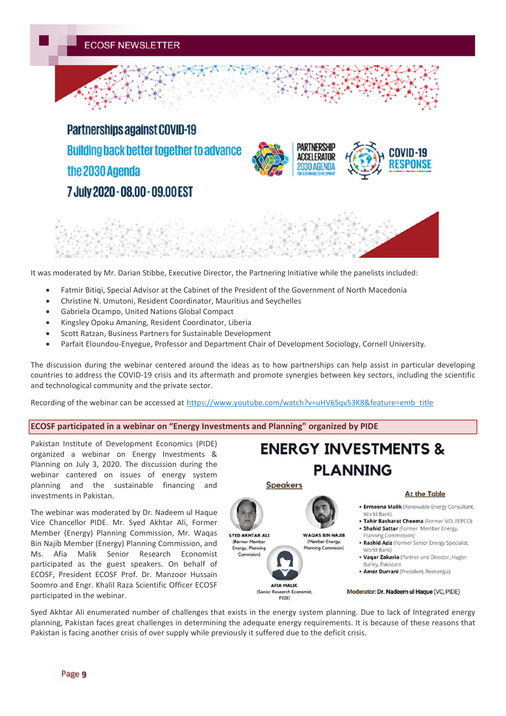**Partnerships against COVID-19 Building back better together to advance** the 2030 Agenda 7 July 2020 - 08.00 - 09.00 EST







It was moderated by Mr. Darian Stibbe, Executive Director, the Partnering Initiative while the panelists included:

- Fatmir Bitiqi, Special Advisor at the Cabinet of the President of the Government of North Macedonia
- Christine N. Umutoni, Resident Coordinator, Mauritius and Seychelles
- Gabriela Ocampo, United Nations Global Compact
- Kingsley Opoku Amaning, Resident Coordinator, Liberia
- Scott Ratzan, Business Partners for Sustainable Development
- Parfait Eloundou-Enyegue, Professor and Department Chair of Development Sociology, Cornell University.

The discussion during the webinar centered around the ideas as to how partnerships can help assist in particular developing countries to address the COVID-19 crisis and its aftermath and promote synergies between key sectors, including the scientific and technological community and the private sector.

Recording of the webinar can be accessed at https://www.youtube.com/watch?v=uHV6Sqv53K8&feature=emb\_title

#### **ECOSF participated in a webinar on "Energy Investments and Planning" organized by PIDE**

Pakistan Institute of Development Economics (PIDE) organized a webinar on Energy Investments & Planning on July 3, 2020. The discussion during the webinar cantered on issues of energy system planning and the sustainable financing and investments in Pakistan.

The webinar was moderated by Dr. Nadeem ul Haque Vice Chancellor PIDE. Mr. Syed Akhtar Ali, Former Member (Energy) Planning Commission, Mr. Waqas Bin Najib Member (Energy) Planning Commission, and Ms. Afia Malik Senior Research Economist participated as the guest speakers. On behalf of ECOSF, President ECOSF Prof. Dr. Manzoor Hussain Soomro and Engr. Khalil Raza Scientific Officer ECOSF participated in the webinar.



**ENERGY INVESTMENTS &** 

Moderator: Dr. Nadeem ul Haque (VC, PIDE)

Syed Akhtar Ali enumerated number of challenges that exists in the energy system planning. Due to lack of Integrated energy planning, Pakistan faces great challenges in determining the adequate energy requirements. It is because of these reasons that Pakistan is facing another crisis of over supply while previously it suffered due to the deficit crisis.

PIDE)